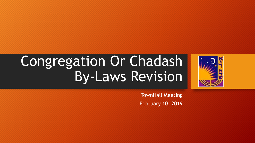# Congregation Or Chadash By-Laws Revision



TownHall Meeting February 10, 2019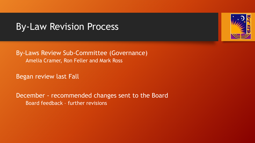# By-Law Revision Process

By-Laws Review Sub-Committee (Governance) Amelia Cramer, Ron Feller and Mark Ross

Began review last Fall

December - recommended changes sent to the Board Board feedback – further revisions

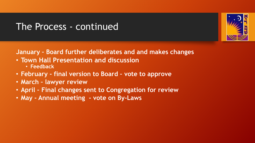# The Process - continued



#### **January – Board further deliberates and and makes changes**

- **Town Hall Presentation and discussion** 
	- **Feedback**
- **February - final version to Board – vote to approve**
- **March – lawyer review**
- **April – Final changes sent to Congregation for review**
- **May - Annual meeting - vote on By-Laws**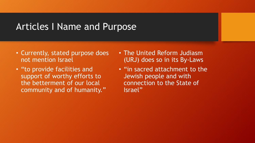### Articles I Name and Purpose

- Currently, stated purpose does not mention Israel
- "to provide facilities and support of worthy efforts to the betterment of our local community and of humanity."
- The United Reform Judiasm (URJ) does so in its By-Laws
- "in sacred attachment to the Jewish people and with connection to the State of Israel"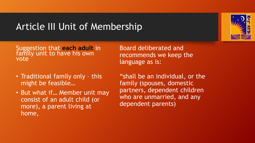# Article III Unit of Membership



Suggestion that **each adult** in family unit to have his own vote

- Traditional family only this might be feasible…
- But what if… Member unit may consist of an adult child (or more), a parent living at home,

Board deliberated and recommends we keep the language as is:

"shall be an individual, or the family (spouses, domestic partners, dependent children who are unmarried, and any dependent parents)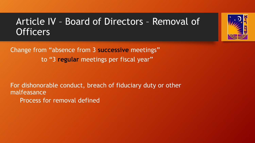### Article IV – Board of Directors – Removal of Officers



Change from "absence from 3 **successive** meetings" to "3 **regular** meetings per fiscal year"

For dishonorable conduct, breach of fiduciary duty or other malfeasance

Process for removal defined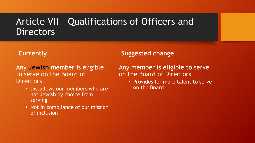### Article VII – Qualifications of Officers and **Directors**

#### **Currently**

Any **Jewish** member is eligible to serve on the Board of **Directors** 

- Dissallows our members who are not Jewish by choice from serving
- Not in compliance of our mission of inclusion

#### **Suggested change**

Any member is eligible to serve on the Board of Directors

> • Provides for more talent to serve on the Board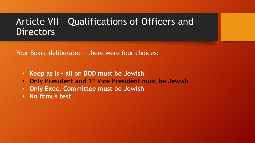### Article VII – Qualifications of Officers and **Directors**

Your Board deliberated – there were four choices:

- **Keep as is – all on BOD must be Jewish**
- **Only President and 1st Vice President must be Jewish**
- **Only Exec. Committee must be Jewish**
- **No litmus test**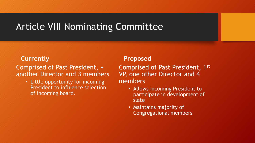# Article VIII Nominating Committee

#### **Currently**

Comprised of Past President, + another Director and 3 members

> • Little opportunity for incoming President to influence selection of incoming board.

#### **Proposed**

Comprised of Past President, 1st VP, one other Director and 4 members

- Allows incoming President to participate in development of slate
- Maintains majority of Congregational members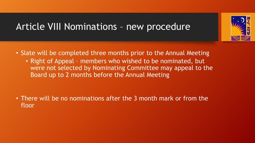### Article VIII Nominations – new procedure

- Slate will be completed three months prior to the Annual Meeting
	- Right of Appeal members who wished to be nominated, but were not selected by Nominating Committee may appeal to the Board up to 2 months before the Annual Meeting

• There will be no nominations after the 3 month mark or from the floor

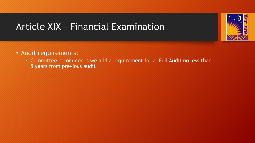# Article XIX – Financial Examination



• Committee recommends we add a requirement for a Full Audit no less than 5 years from previous audit